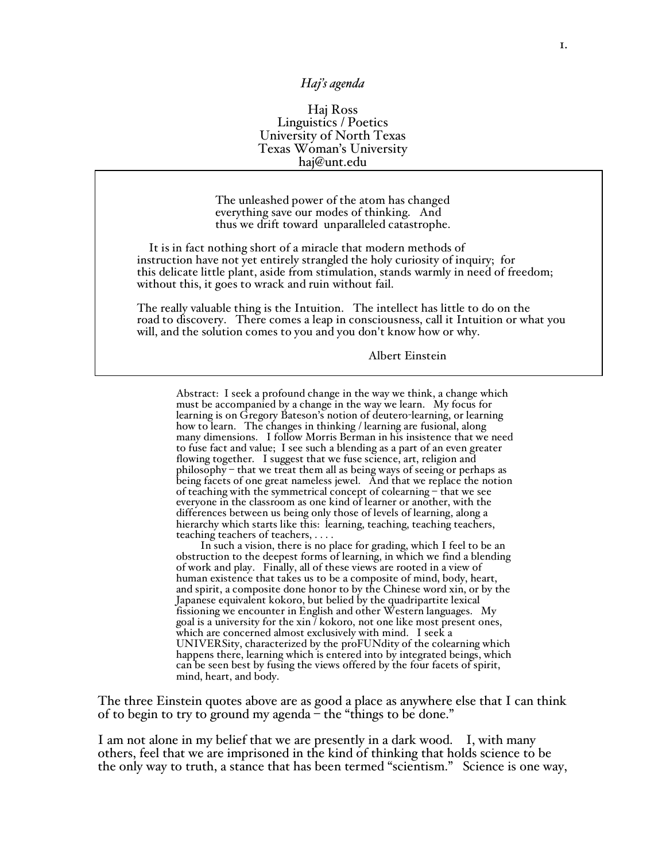## *Haj's agenda*

## Haj Ross Linguistics / Poetics University of North Texas Texas Woman'<sup>s</sup> University haj@unt.edu

The unleashed power of the atom has changed everything save our modes of thinking. And thus we drift toward unparalleled catastrophe.

It is in fact nothing short of a miracle that modern methods of instruction have not yet entirely strangled the holy curiosity of inquiry; for this delicate little plant, aside from stimulation, stands warmly in need of freedom; without this, it goes to wrack and ruin without fail.

The really valuable thing is the Intuition. The intellect has little to do on the road to discovery. There comes a leap in consciousness, call it Intuition or what you will, and the solution comes to you and you don't know how or why.

Albert Einstein

Abstract: I seek a profound change in the way we think, a change which must be accompanied by a change in the way we learn. My focus for learning is on Gregory Bateson's notion of deutero-learning, or learning how to learn. The changes in thinking / learning are fusional, along many dimensions. I follow Morris Berman in his insistence that we need to fuse fact and value; I see such a blending as a part of an even greater flowing together. I suggest that we fuse science, art, religion and philosophy – that we treat them all as being ways of seeing or perhaps as being facets of one great nameless jewel. And that we replace the notion of teaching with the symmetrical concept of colearning – that we see everyone in the classroom as one kind of learner or another, with the differences between us being only those of levels of learning, along a hierarchy which starts like this: learning, teaching, teaching teachers, teaching teachers of teachers, . . . .

In such a vision, there is no place for grading, which I feel to be an obstruction to the deepest forms of learning, in which we find a blending of work and play. Finally, all of these views are rooted in a view of human existence that takes us to be a composite of mind, body, heart, and spirit, a composite done honor to by the Chinese word xin, or by the Japanese equivalent kokoro, but belied by the quadripartite lexical fissioning we encounter in English and other Western languages. My goal is a university for the xin  $\bar{\ }$  kokoro, not one like most present ones, which are concerned almost exclusively with mind. I seek a UNIVERSity, characterized by the proFUNdity of the colearning which happens there, learning which is entered into by integrated beings, which can be seen best by fusing the views offered by the four facets of spirit, mind, heart, and body.

The three Einstein quotes above are as good a place as anywhere else that I can think of to begin to try to ground my agenda – the "things to be done."

I am not alone in my belief that we are presently in a dark wood. I, with many others, feel that we are imprisoned in the kind of thinking that holds science to be the only way to truth, a stance that has been termed "scientism." Science is one way,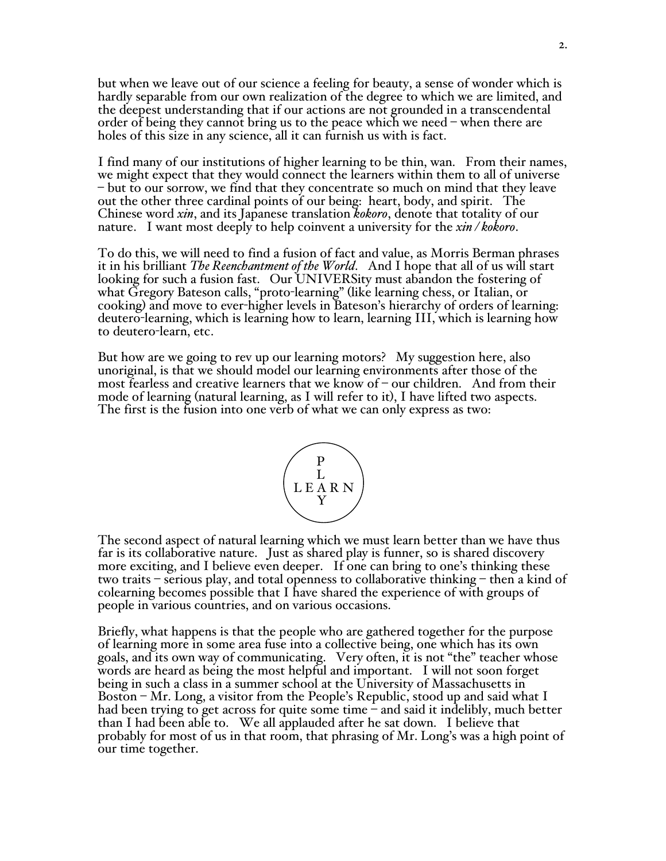but when we leave out of our science a feeling for beauty, a sense of wonder which is hardly separable from our own realization of the degree to which we are limited, and the deepest understanding that if our actions are not grounded in a transcendental order of being they cannot bring us to the peace which we need – when there are holes of this size in any science, all it can furnish us with is fact.

I find many of our institutions of higher learning to be thin, wan. From their names,<br>we might expect that they would connect the learners within them to all of universe<br>– but to our sorrow, we find that they concentrate s out the other three cardinal points of our being: heart, body, and spirit. The Chinese word *xin*, and its Japanese translation *kokoro*, denote that totality of our nature. I want most deeply to help coinvent a university for the *xin / kokoro*.

To do this, we will need to find a fusion of fact and value, as Morris Berman phrases it in his brilliant *The Reenchantment of the World*. And I hope that all of us will start looking for such a fusion fast. Our UNIVERSity must abandon the fostering of what Gregory Bateson calls, "proto-learning" (like learning chess, or Italian, or cooking) and move to ever-higher levels in Bateson's hierarchy of orders of learning: deutero-learning, which is learning how to learn, learning III, which is learning how to deutero-learn, etc.

But how are we going to rev up our learning motors? My suggestion here, also unoriginal, is that we should model our learning environments after those of the most fearless and creative learners that we know of  $\sim$  our children. And from their mode of learning (natural learning, as <sup>I</sup> will refer to it), <sup>I</sup> have lifted two aspects. The first is the fusion into one verb of what we can only express as two:



The second aspect of natural learning which we must learn better than we have thus far is its collaborative nature. Just as shared play is funner, so is shared discovery more exciting, and I believe even deeper. If one can bring to one's thinking these two traits – serious play, and total openness to collaborative thinking – then a kind of colearning becomes possible that I have shared the experience of with groups of people in various countries, and on various occasions.

Briefly, what happens is that the people who are gathered together for the purpose of learning more in some area fuse into a collective being, one which has its own goals, and its own way of communicating. Very often, it is not "the" teacher whose words are heard as being the most helpful and important. I will not soon forget being in such a class in a summer school at the University of Massachusetts in Boston – Mr. Long, a visitor from the People's Republic, stood up and said what I had been trying to get across for quite some time – and said it indelibly, much better than I had been able to. We all applauded after he sat down. I believe that probably for most of us in that room, that phrasing of Mr. Long's was a high point of our time together.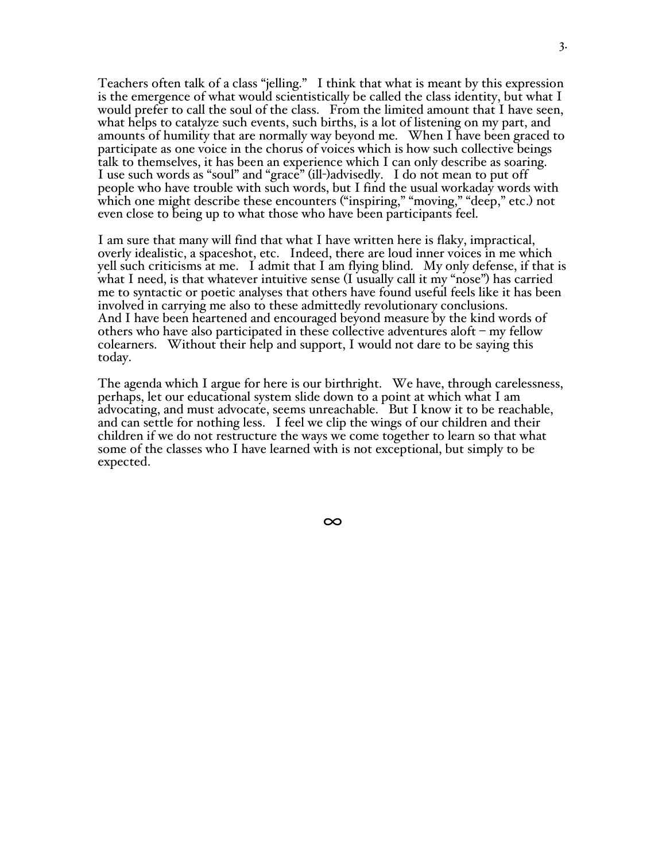Teachers often talk of a class "jelling." I think that what is meant by this expression is the emergence of what would scientistically be called the class identity, but what I would prefer to call the soul of the class. From the limited amount that <sup>I</sup> have seen, what helps to catalyze such events, such births, is <sup>a</sup> lot of listening on my part, and amounts of humility that are normally way beyond me. When I have been graced to participate as one voice in the chorus of voices which is how such collective beings talk to themselves, it has been an experience which <sup>I</sup> can only describe as soaring. <sup>I</sup> use such words as "soul" and "grace" (ill-)advisedly. <sup>I</sup> do not mean to put off people who have trouble with such words, but I find the usual workaday words with which one might describe these encounters ("inspiring," "moving," "deep," etc.) not even close to being up to what those who have been participants feel.

<sup>I</sup> am sure that many will find that what <sup>I</sup> have written here is flaky, impractical, overly idealistic, <sup>a</sup> spaceshot, etc. Indeed, there are loud inner voices in me which yell such criticisms at me. I admit that I am flying blind. My only defense, if that is what I need, is that whatever intuitive sense (I usually call it my "nose") has carried me to syntactic or poetic analyses that others have found useful feels like it has been involved in carrying me also to these admittedly revolutionary conclusions. And <sup>I</sup> have been heartened and encouraged beyond measure by the kind words of others who have also participated in these collective adventures aloft – my fellow colearners. Without their help and support, I would not dare to be saying this today.

The agenda which <sup>I</sup> argue for here is our birthright. We have, through carelessness, perhaps, let our educational system slide down to <sup>a</sup> point at which what <sup>I</sup> am advocating, and must advocate, seems unreachable. But <sup>I</sup> know it to be reachable, and can settle for nothing less. <sup>I</sup> feel we clip the wings of our children and their children if we do not restructure the ways we come together to learn so that what some of the classes who I have learned with is not exceptional, but simply to be expected.